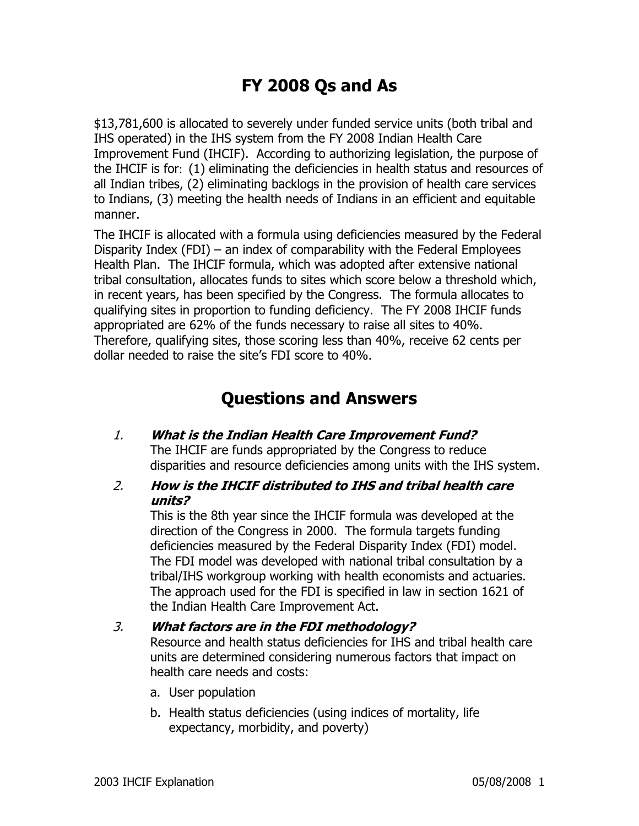# **FY 2008 Qs and As**

\$13,781,600 is allocated to severely under funded service units (both tribal and IHS operated) in the IHS system from the FY 2008 Indian Health Care Improvement Fund (IHCIF). According to authorizing legislation, the purpose of the IHCIF is for: (1) eliminating the deficiencies in health status and resources of all Indian tribes, (2) eliminating backlogs in the provision of health care services to Indians, (3) meeting the health needs of Indians in an efficient and equitable manner.

The IHCIF is allocated with a formula using deficiencies measured by the Federal Disparity Index (FDI) – an index of comparability with the Federal Employees Health Plan. The IHCIF formula, which was adopted after extensive national tribal consultation, allocates funds to sites which score below a threshold which, in recent years, has been specified by the Congress. The formula allocates to qualifying sites in proportion to funding deficiency. The FY 2008 IHCIF funds appropriated are 62% of the funds necessary to raise all sites to 40%. Therefore, qualifying sites, those scoring less than 40%, receive 62 cents per dollar needed to raise the site's FDI score to 40%.

# **Questions and Answers**

- 1. **What is the Indian Health Care Improvement Fund?**  The IHCIF are funds appropriated by the Congress to reduce disparities and resource deficiencies among units with the IHS system.
- 2. **How is the IHCIF distributed to IHS and tribal health care units?**

This is the 8th year since the IHCIF formula was developed at the direction of the Congress in 2000. The formula targets funding deficiencies measured by the Federal Disparity Index (FDI) model. The FDI model was developed with national tribal consultation by a tribal/IHS workgroup working with health economists and actuaries. The approach used for the FDI is specified in law in section 1621 of the Indian Health Care Improvement Act.

### 3. **What factors are in the FDI methodology?** Resource and health status deficiencies for IHS and tribal health care units are determined considering numerous factors that impact on health care needs and costs:

- a. User population
- b. Health status deficiencies (using indices of mortality, life expectancy, morbidity, and poverty)